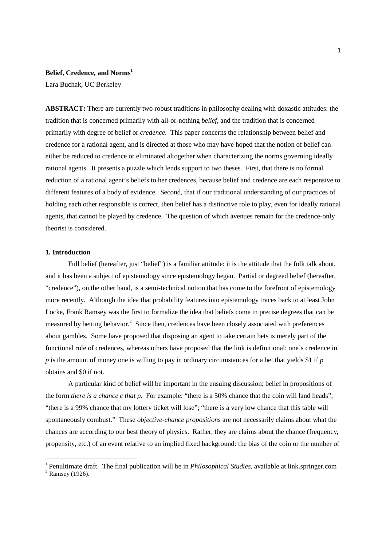# **Belief, Credence, and Norms<sup>1</sup>**

Lara Buchak, UC Berkeley

**ABSTRACT:** There are currently two robust traditions in philosophy dealing with doxastic attitudes: the tradition that is concerned primarily with all-or-nothing *belief*, and the tradition that is concerned primarily with degree of belief or *credence*. This paper concerns the relationship between belief and credence for a rational agent, and is directed at those who may have hoped that the notion of belief can either be reduced to credence or eliminated altogether when characterizing the norms governing ideally rational agents. It presents a puzzle which lends support to two theses. First, that there is no formal reduction of a rational agent's beliefs to her credences, because belief and credence are each responsive to different features of a body of evidence. Second, that if our traditional understanding of our practices of holding each other responsible is correct, then belief has a distinctive role to play, even for ideally rational agents, that cannot be played by credence. The question of which avenues remain for the credence-only theorist is considered.

### **1. Introduction**

Full belief (hereafter, just "belief") is a familiar attitude: it is the attitude that the folk talk about, and it has been a subject of epistemology since epistemology began. Partial or degreed belief (hereafter, "credence"), on the other hand, is a semi-technical notion that has come to the forefront of epistemology more recently. Although the idea that probability features into epistemology traces back to at least John Locke, Frank Ramsey was the first to formalize the idea that beliefs come in precise degrees that can be measured by betting behavior.<sup>2</sup> Since then, credences have been closely associated with preferences about gambles. Some have proposed that disposing an agent to take certain bets is merely part of the functional role of credences, whereas others have proposed that the link is definitional: one's credence in *p* is the amount of money one is willing to pay in ordinary circumstances for a bet that yields \$1 if *p* obtains and \$0 if not.

A particular kind of belief will be important in the ensuing discussion: belief in propositions of the form *there is a chance c that p*. For example: "there is a 50% chance that the coin will land heads"; "there is a 99% chance that my lottery ticket will lose"; "there is a very low chance that this table will spontaneously combust." These *objective-chance propositions* are not necessarily claims about what the chances are according to our best theory of physics. Rather, they are claims about the chance (frequency, propensity, etc.) of an event relative to an implied fixed background: the bias of the coin or the number of

<sup>&</sup>lt;sup>1</sup> Penultimate draft. The final publication will be in *Philosophical Studies*, available at link.springer.com

 $<sup>2</sup>$  Ramsey (1926).</sup>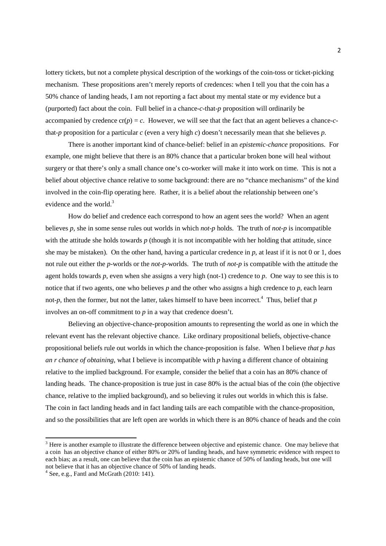lottery tickets, but not a complete physical description of the workings of the coin-toss or ticket-picking mechanism. These propositions aren't merely reports of credences: when I tell you that the coin has a 50% chance of landing heads, I am not reporting a fact about my mental state or my evidence but a (purported) fact about the coin. Full belief in a chance-*c*-that-*p* proposition will ordinarily be accompanied by credence  $cr(p) = c$ . However, we will see that the fact that an agent believes a chance-*c*that-*p* proposition for a particular *c* (even a very high *c*) doesn't necessarily mean that she believes *p*.

There is another important kind of chance-belief: belief in an *epistemic-chance* propositions. For example, one might believe that there is an 80% chance that a particular broken bone will heal without surgery or that there's only a small chance one's co-worker will make it into work on time. This is not a belief about objective chance relative to some background: there are no "chance mechanisms" of the kind involved in the coin-flip operating here. Rather, it is a belief about the relationship between one's evidence and the world.<sup>3</sup>

How do belief and credence each correspond to how an agent sees the world? When an agent believes *p*, she in some sense rules out worlds in which *not-p* holds. The truth of *not-p* is incompatible with the attitude she holds towards *p* (though it is not incompatible with her holding that attitude, since she may be mistaken). On the other hand, having a particular credence in *p*, at least if it is not 0 or 1, does not rule out either the *p*-worlds or the *not-p*-worlds. The truth of *not-p* is compatible with the attitude the agent holds towards *p*, even when she assigns a very high (not-1) credence to *p*. One way to see this is to notice that if two agents, one who believes *p* and the other who assigns a high credence to *p*, each learn not- $p$ , then the former, but not the latter, takes himself to have been incorrect.<sup>4</sup> Thus, belief that  $p$ involves an on-off commitment to *p* in a way that credence doesn't.

Believing an objective-chance-proposition amounts to representing the world as one in which the relevant event has the relevant objective chance. Like ordinary propositional beliefs, objective-chance propositional beliefs rule out worlds in which the chance-proposition is false. When I believe *that p has an r chance of obtaining*, what I believe is incompatible with *p* having a different chance of obtaining relative to the implied background. For example, consider the belief that a coin has an 80% chance of landing heads. The chance-proposition is true just in case 80% is the actual bias of the coin (the objective chance, relative to the implied background), and so believing it rules out worlds in which this is false. The coin in fact landing heads and in fact landing tails are each compatible with the chance-proposition, and so the possibilities that are left open are worlds in which there is an 80% chance of heads and the coin

 $3$  Here is another example to illustrate the difference between objective and epistemic chance. One may believe that a coin has an objective chance of either 80% or 20% of landing heads, and have symmetric evidence with respect to each bias; as a result, one can believe that the coin has an epistemic chance of 50% of landing heads, but one will not believe that it has an objective chance of 50% of landing heads.

 $4$  See, e.g., Fantl and McGrath (2010: 141).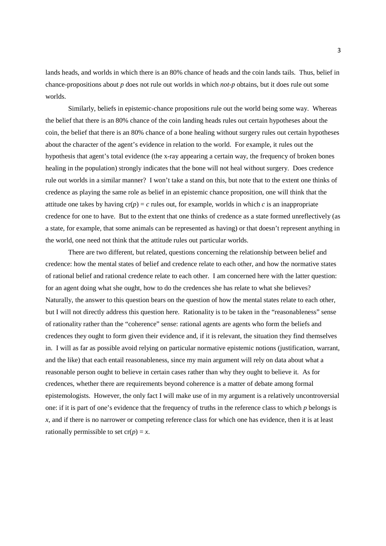lands heads, and worlds in which there is an 80% chance of heads and the coin lands tails. Thus, belief in chance-propositions about *p* does not rule out worlds in which *not-p* obtains, but it does rule out some worlds.

Similarly, beliefs in epistemic-chance propositions rule out the world being some way. Whereas the belief that there is an 80% chance of the coin landing heads rules out certain hypotheses about the coin, the belief that there is an 80% chance of a bone healing without surgery rules out certain hypotheses about the character of the agent's evidence in relation to the world. For example, it rules out the hypothesis that agent's total evidence (the x-ray appearing a certain way, the frequency of broken bones healing in the population) strongly indicates that the bone will not heal without surgery. Does credence rule out worlds in a similar manner? I won't take a stand on this, but note that to the extent one thinks of credence as playing the same role as belief in an epistemic chance proposition, one will think that the attitude one takes by having  $cr(p) = c$  rules out, for example, worlds in which *c* is an inappropriate credence for one to have. But to the extent that one thinks of credence as a state formed unreflectively (as a state, for example, that some animals can be represented as having) or that doesn't represent anything in the world, one need not think that the attitude rules out particular worlds.

There are two different, but related, questions concerning the relationship between belief and credence: how the mental states of belief and credence relate to each other, and how the normative states of rational belief and rational credence relate to each other. I am concerned here with the latter question: for an agent doing what she ought, how to do the credences she has relate to what she believes? Naturally, the answer to this question bears on the question of how the mental states relate to each other, but I will not directly address this question here. Rationality is to be taken in the "reasonableness" sense of rationality rather than the "coherence" sense: rational agents are agents who form the beliefs and credences they ought to form given their evidence and, if it is relevant, the situation they find themselves in. I will as far as possible avoid relying on particular normative epistemic notions (justification, warrant, and the like) that each entail reasonableness, since my main argument will rely on data about what a reasonable person ought to believe in certain cases rather than why they ought to believe it. As for credences, whether there are requirements beyond coherence is a matter of debate among formal epistemologists. However, the only fact I will make use of in my argument is a relatively uncontroversial one: if it is part of one's evidence that the frequency of truths in the reference class to which *p* belongs is *x*, and if there is no narrower or competing reference class for which one has evidence, then it is at least rationally permissible to set  $cr(p) = x$ .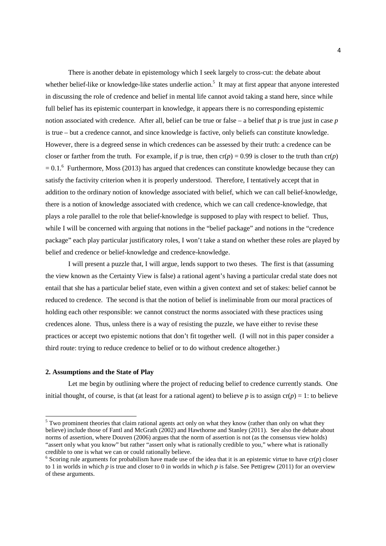There is another debate in epistemology which I seek largely to cross-cut: the debate about whether belief-like or knowledge-like states underlie action.<sup>5</sup> It may at first appear that anyone interested in discussing the role of credence and belief in mental life cannot avoid taking a stand here, since while full belief has its epistemic counterpart in knowledge, it appears there is no corresponding epistemic notion associated with credence. After all, belief can be true or false – a belief that *p* is true just in case *p* is true – but a credence cannot, and since knowledge is factive, only beliefs can constitute knowledge. However, there is a degreed sense in which credences can be assessed by their truth: a credence can be closer or farther from the truth. For example, if *p* is true, then  $cr(p) = 0.99$  is closer to the truth than  $cr(p)$  $= 0.1$ .<sup>6</sup> Furthermore, Moss (2013) has argued that credences can constitute knowledge because they can satisfy the factivity criterion when it is properly understood. Therefore, I tentatively accept that in addition to the ordinary notion of knowledge associated with belief, which we can call belief-knowledge, there is a notion of knowledge associated with credence, which we can call credence-knowledge, that plays a role parallel to the role that belief-knowledge is supposed to play with respect to belief. Thus, while I will be concerned with arguing that notions in the "belief package" and notions in the "credence package" each play particular justificatory roles, I won't take a stand on whether these roles are played by belief and credence or belief-knowledge and credence-knowledge.

 I will present a puzzle that, I will argue, lends support to two theses. The first is that (assuming the view known as the Certainty View is false) a rational agent's having a particular credal state does not entail that she has a particular belief state, even within a given context and set of stakes: belief cannot be reduced to credence. The second is that the notion of belief is ineliminable from our moral practices of holding each other responsible: we cannot construct the norms associated with these practices using credences alone. Thus, unless there is a way of resisting the puzzle, we have either to revise these practices or accept two epistemic notions that don't fit together well. (I will not in this paper consider a third route: trying to reduce credence to belief or to do without credence altogether.)

### **2. Assumptions and the State of Play**

 $\overline{a}$ 

Let me begin by outlining where the project of reducing belief to credence currently stands. One initial thought, of course, is that (at least for a rational agent) to believe *p* is to assign  $cr(p) = 1$ : to believe

 $<sup>5</sup>$  Two prominent theories that claim rational agents act only on what they know (rather than only on what they</sup> believe) include those of Fantl and McGrath (2002) and Hawthorne and Stanley (2011). See also the debate about norms of assertion, where Douven (2006) argues that the norm of assertion is not (as the consensus view holds) "assert only what you know" but rather "assert only what is rationally credible to you," where what is rationally credible to one is what we can or could rationally believe.

 $6$  Scoring rule arguments for probabilism have made use of the idea that it is an epistemic virtue to have  $cr(p)$  closer to 1 in worlds in which *p* is true and closer to 0 in worlds in which *p* is false. See Pettigrew (2011) for an overview of these arguments.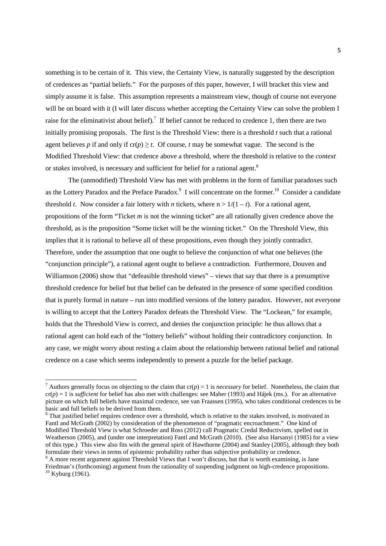something is to be certain of it. This view, the Certainty View, is naturally suggested by the description of credences as "partial beliefs." For the purposes of this paper, however, I will bracket this view and simply assume it is false. This assumption represents a mainstream view, though of course not everyone will be on board with it (I will later discuss whether accepting the Certainty View can solve the problem I raise for the eliminativist about belief).<sup>7</sup> If belief cannot be reduced to credence 1, then there are two initially promising proposals. The first is the Threshold View: there is a threshold *t* such that a rational agent believes *p* if and only if  $cr(p) \ge t$ . Of course, *t* may be somewhat vague. The second is the Modified Threshold View: that credence above a threshold, where the threshold is relative to the *context* or *stakes* involved, is necessary and sufficient for belief for a rational agent.<sup>8</sup>

The (unmodified) Threshold View has met with problems in the form of familiar paradoxes such as the Lottery Paradox and the Preface Paradox.<sup>9</sup> I will concentrate on the former.<sup>10</sup> Consider a candidate threshold *t*. Now consider a fair lottery with *n* tickets, where  $n > 1/(1-t)$ . For a rational agent, propositions of the form "Ticket *m* is not the winning ticket" are all rationally given credence above the threshold, as is the proposition "Some ticket will be the winning ticket." On the Threshold View, this implies that it is rational to believe all of these propositions, even though they jointly contradict. Therefore, under the assumption that one ought to believe the conjunction of what one believes (the "conjunction principle"), a rational agent ought to believe a contradiction. Furthermore, Douven and Williamson (2006) show that "defeasible threshold views" – views that say that there is a presumptive threshold credence for belief but that belief can be defeated in the presence of some specified condition that is purely formal in nature – run into modified versions of the lottery paradox. However, not everyone is willing to accept that the Lottery Paradox defeats the Threshold View. The "Lockean," for example, holds that the Threshold View is correct, and denies the conjunction principle: he thus allows that a rational agent can hold each of the "lottery beliefs" without holding their contradictory conjunction. In any case, we might worry about resting a claim about the relationship between rational belief and rational credence on a case which seems independently to present a puzzle for the belief package.

<sup>&</sup>lt;sup>7</sup> Authors generally focus on objecting to the claim that  $cr(p) = 1$  is *necessary* for belief. Nonetheless, the claim that cr(*p*) = 1 is *sufficient* for belief has also met with challenges: see Maher (1993) and Hájek (ms.). For an alternative picture on which full beliefs have maximal credence, see van Fraassen (1995), who takes conditional credences to be basic and full beliefs to be derived from them.

<sup>&</sup>lt;sup>8</sup> That justified belief requires credence over a threshold, which is relative to the stakes involved, is motivated in Fantl and McGrath (2002) by consideration of the phenomenon of "pragmatic encroachment." One kind of Modified Threshold View is what Schroeder and Ross (2012) call Pragmatic Credal Reductivism, spelled out in Weatherson (2005), and (under one interpretation) Fantl and McGrath (2010). (See also Harsanyi (1985) for a view of this type.) This view also fits with the general spirit of Hawthorne (2004) and Stanley (2005), although they both formulate their views in terms of epistemic probability rather than subjective probability or credence. <sup>9</sup> A more recent argument against Threshold Views that I won't discuss, but that is worth examining, is Jane

Friedman's (forthcoming) argument from the rationality of suspending judgment on high-credence propositions.  $10$  Kyburg (1961).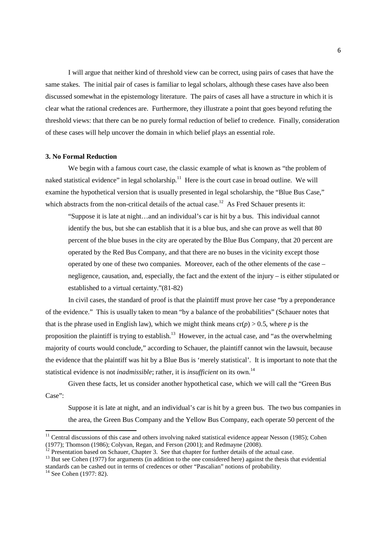I will argue that neither kind of threshold view can be correct, using pairs of cases that have the same stakes. The initial pair of cases is familiar to legal scholars, although these cases have also been discussed somewhat in the epistemology literature. The pairs of cases all have a structure in which it is clear what the rational credences are. Furthermore, they illustrate a point that goes beyond refuting the threshold views: that there can be no purely formal reduction of belief to credence. Finally, consideration of these cases will help uncover the domain in which belief plays an essential role.

## **3. No Formal Reduction**

We begin with a famous court case, the classic example of what is known as "the problem of naked statistical evidence" in legal scholarship. $11$  Here is the court case in broad outline. We will examine the hypothetical version that is usually presented in legal scholarship, the "Blue Bus Case," which abstracts from the non-critical details of the actual case.<sup>12</sup> As Fred Schauer presents it:

"Suppose it is late at night…and an individual's car is hit by a bus. This individual cannot identify the bus, but she can establish that it is a blue bus, and she can prove as well that 80 percent of the blue buses in the city are operated by the Blue Bus Company, that 20 percent are operated by the Red Bus Company, and that there are no buses in the vicinity except those operated by one of these two companies. Moreover, each of the other elements of the case – negligence, causation, and, especially, the fact and the extent of the injury – is either stipulated or established to a virtual certainty."(81-82)

In civil cases, the standard of proof is that the plaintiff must prove her case "by a preponderance of the evidence." This is usually taken to mean "by a balance of the probabilities" (Schauer notes that that is the phrase used in English law), which we might think means  $cr(p) > 0.5$ , where *p* is the proposition the plaintiff is trying to establish.<sup>13</sup> However, in the actual case, and "as the overwhelming majority of courts would conclude," according to Schauer, the plaintiff cannot win the lawsuit, because the evidence that the plaintiff was hit by a Blue Bus is 'merely statistical'. It is important to note that the statistical evidence is not *inadmissible*; rather, it is *insufficient* on its own.<sup>14</sup>

Given these facts, let us consider another hypothetical case, which we will call the "Green Bus Case":

Suppose it is late at night, and an individual's car is hit by a green bus. The two bus companies in the area, the Green Bus Company and the Yellow Bus Company, each operate 50 percent of the

 $11$  Central discussions of this case and others involving naked statistical evidence appear Nesson (1985); Cohen (1977); Thomson (1986); Colyvan, Regan, and Ferson (2001); and Redmayne (2008).

<sup>&</sup>lt;sup>12</sup> Presentation based on Schauer, Chapter 3. See that chapter for further details of the actual case.

<sup>&</sup>lt;sup>13</sup> But see Cohen (1977) for arguments (in addition to the one considered here) against the thesis that evidential standards can be cashed out in terms of credences or other "Pascalian" notions of probability.

 $14$  See Cohen (1977: 82).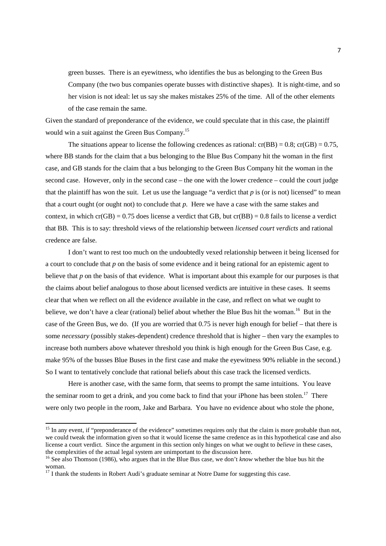green busses. There is an eyewitness, who identifies the bus as belonging to the Green Bus Company (the two bus companies operate busses with distinctive shapes). It is night-time, and so her vision is not ideal: let us say she makes mistakes 25% of the time. All of the other elements of the case remain the same.

Given the standard of preponderance of the evidence, we could speculate that in this case, the plaintiff would win a suit against the Green Bus Company.<sup>15</sup>

The situations appear to license the following credences as rational:  $cr(BB) = 0.8$ ;  $cr(GB) = 0.75$ , where BB stands for the claim that a bus belonging to the Blue Bus Company hit the woman in the first case, and GB stands for the claim that a bus belonging to the Green Bus Company hit the woman in the second case. However, only in the second case – the one with the lower credence – could the court judge that the plaintiff has won the suit. Let us use the language "a verdict that  $p$  is (or is not) licensed" to mean that a court ought (or ought not) to conclude that *p*. Here we have a case with the same stakes and context, in which cr(GB) = 0.75 does license a verdict that GB, but cr(BB) = 0.8 fails to license a verdict that BB. This is to say: threshold views of the relationship between *licensed court verdicts* and rational credence are false.

I don't want to rest too much on the undoubtedly vexed relationship between it being licensed for a court to conclude that *p* on the basis of some evidence and it being rational for an epistemic agent to believe that *p* on the basis of that evidence. What is important about this example for our purposes is that the claims about belief analogous to those about licensed verdicts are intuitive in these cases. It seems clear that when we reflect on all the evidence available in the case, and reflect on what we ought to believe, we don't have a clear (rational) belief about whether the Blue Bus hit the woman.<sup>16</sup> But in the case of the Green Bus, we do. (If you are worried that 0.75 is never high enough for belief – that there is some *necessary* (possibly stakes-dependent) credence threshold that is higher – then vary the examples to increase both numbers above whatever threshold you think is high enough for the Green Bus Case, e.g. make 95% of the busses Blue Buses in the first case and make the eyewitness 90% reliable in the second.) So I want to tentatively conclude that rational beliefs about this case track the licensed verdicts.

Here is another case, with the same form, that seems to prompt the same intuitions. You leave the seminar room to get a drink, and you come back to find that your iPhone has been stolen.<sup>17</sup> There were only two people in the room, Jake and Barbara. You have no evidence about who stole the phone,

<sup>&</sup>lt;sup>15</sup> In any event, if "preponderance of the evidence" sometimes requires only that the claim is more probable than not, we could tweak the information given so that it would license the same credence as in this hypothetical case and also license a court verdict. Since the argument in this section only hinges on what we ought to *believe* in these cases, the complexities of the actual legal system are unimportant to the discussion here.

<sup>16</sup> See also Thomson (1986), who argues that in the Blue Bus case, we don't *know* whether the blue bus hit the woman.

 $17$  I thank the students in Robert Audi's graduate seminar at Notre Dame for suggesting this case.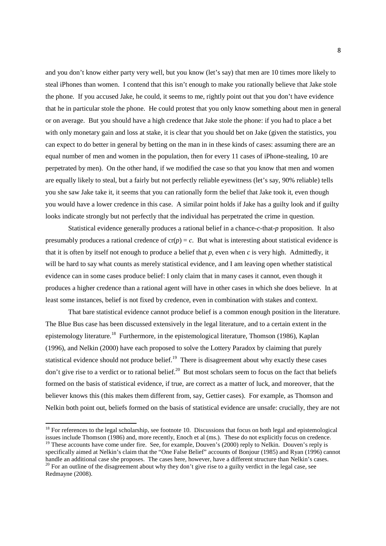and you don't know either party very well, but you know (let's say) that men are 10 times more likely to steal iPhones than women. I contend that this isn't enough to make you rationally believe that Jake stole the phone. If you accused Jake, he could, it seems to me, rightly point out that you don't have evidence that he in particular stole the phone. He could protest that you only know something about men in general or on average. But you should have a high credence that Jake stole the phone: if you had to place a bet with only monetary gain and loss at stake, it is clear that you should bet on Jake (given the statistics, you can expect to do better in general by betting on the man in in these kinds of cases: assuming there are an equal number of men and women in the population, then for every 11 cases of iPhone-stealing, 10 are perpetrated by men). On the other hand, if we modified the case so that you know that men and women are equally likely to steal, but a fairly but not perfectly reliable eyewitness (let's say, 90% reliable) tells you she saw Jake take it, it seems that you can rationally form the belief that Jake took it, even though you would have a lower credence in this case. A similar point holds if Jake has a guilty look and if guilty looks indicate strongly but not perfectly that the individual has perpetrated the crime in question.

Statistical evidence generally produces a rational belief in a chance-*c*-that-*p* proposition. It also presumably produces a rational credence of  $cr(p) = c$ . But what is interesting about statistical evidence is that it is often by itself not enough to produce a belief that *p*, even when *c* is very high. Admittedly, it will be hard to say what counts as merely statistical evidence, and I am leaving open whether statistical evidence can in some cases produce belief: I only claim that in many cases it cannot, even though it produces a higher credence than a rational agent will have in other cases in which she does believe. In at least some instances, belief is not fixed by credence, even in combination with stakes and context.

 That bare statistical evidence cannot produce belief is a common enough position in the literature. The Blue Bus case has been discussed extensively in the legal literature, and to a certain extent in the epistemology literature.<sup>18</sup> Furthermore, in the epistemological literature, Thomson (1986), Kaplan (1996), and Nelkin (2000) have each proposed to solve the Lottery Paradox by claiming that purely statistical evidence should not produce belief.<sup>19</sup> There is disagreement about why exactly these cases don't give rise to a verdict or to rational belief.<sup>20</sup> But most scholars seem to focus on the fact that beliefs formed on the basis of statistical evidence, if true, are correct as a matter of luck, and moreover, that the believer knows this (this makes them different from, say, Gettier cases). For example, as Thomson and Nelkin both point out, beliefs formed on the basis of statistical evidence are unsafe: crucially, they are not

 $18$  For references to the legal scholarship, see footnote 10. Discussions that focus on both legal and epistemological issues include Thomson (1986) and, more recently, Enoch et al (ms.). These do not explicitly focus on credence. <sup>19</sup> These accounts have come under fire. See, for example, Douven's (2000) reply to Nelkin. Douven's reply is specifically aimed at Nelkin's claim that the "One False Belief" accounts of Bonjour (1985) and Ryan (1996) cannot

handle an additional case she proposes. The cases here, however, have a different structure than Nelkin's cases. <sup>20</sup> For an outline of the disagreement about why they don't give rise to a guilty verdict in the legal case, see Redmayne (2008).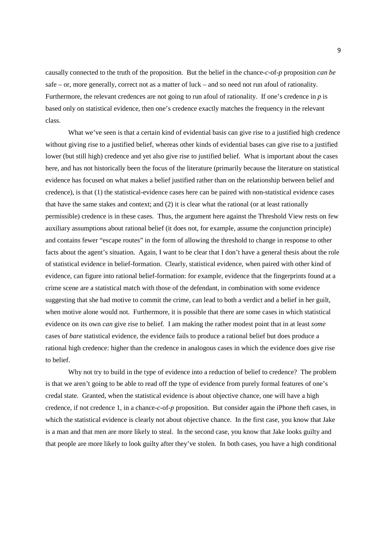causally connected to the truth of the proposition. But the belief in the chance-*c*-of-*p* proposition *can be* safe – or, more generally, correct not as a matter of luck – and so need not run afoul of rationality. Furthermore, the relevant credences are not going to run afoul of rationality. If one's credence in *p* is based only on statistical evidence, then one's credence exactly matches the frequency in the relevant class.

What we've seen is that a certain kind of evidential basis can give rise to a justified high credence without giving rise to a justified belief, whereas other kinds of evidential bases can give rise to a justified lower (but still high) credence and yet also give rise to justified belief. What is important about the cases here, and has not historically been the focus of the literature (primarily because the literature on statistical evidence has focused on what makes a belief justified rather than on the relationship between belief and credence), is that (1) the statistical-evidence cases here can be paired with non-statistical evidence cases that have the same stakes and context; and (2) it is clear what the rational (or at least rationally permissible) credence is in these cases. Thus, the argument here against the Threshold View rests on few auxiliary assumptions about rational belief (it does not, for example, assume the conjunction principle) and contains fewer "escape routes" in the form of allowing the threshold to change in response to other facts about the agent's situation. Again, I want to be clear that I don't have a general thesis about the role of statistical evidence in belief-formation. Clearly, statistical evidence, when paired with other kind of evidence, can figure into rational belief-formation: for example, evidence that the fingerprints found at a crime scene are a statistical match with those of the defendant, in combination with some evidence suggesting that she had motive to commit the crime, can lead to both a verdict and a belief in her guilt, when motive alone would not. Furthermore, it is possible that there are some cases in which statistical evidence on its own *can* give rise to belief. I am making the rather modest point that in at least *some* cases of *bare* statistical evidence, the evidence fails to produce a rational belief but does produce a rational high credence: higher than the credence in analogous cases in which the evidence does give rise to belief.

Why not try to build in the type of evidence into a reduction of belief to credence? The problem is that we aren't going to be able to read off the type of evidence from purely formal features of one's credal state. Granted, when the statistical evidence is about objective chance, one will have a high credence, if not credence 1, in a chance-*c*-of-*p* proposition. But consider again the iPhone theft cases, in which the statistical evidence is clearly not about objective chance. In the first case, you know that Jake is a man and that men are more likely to steal. In the second case, you know that Jake looks guilty and that people are more likely to look guilty after they've stolen. In both cases, you have a high conditional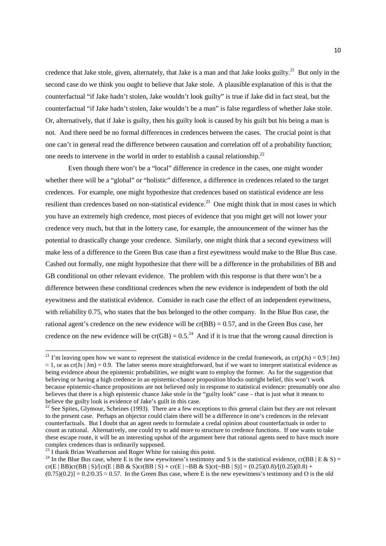credence that Jake stole, given, alternately, that Jake is a man and that Jake looks guilty.<sup>21</sup> But only in the second case do we think you ought to believe that Jake stole. A plausible explanation of this is that the counterfactual "if Jake hadn't stolen, Jake wouldn't look guilty" is true if Jake did in fact steal, but the counterfactual "if Jake hadn't stolen, Jake wouldn't be a man" is false regardless of whether Jake stole. Or, alternatively, that if Jake is guilty, then his guilty look is caused by his guilt but his being a man is not. And there need be no formal differences in credences between the cases. The crucial point is that one can't in general read the difference between causation and correlation off of a probability function; one needs to intervene in the world in order to establish a causal relationship.<sup>22</sup>

Even though there won't be a "local" difference in credence in the cases, one might wonder whether there will be a "global" or "holistic" difference, a difference in credences related to the target credences. For example, one might hypothesize that credences based on statistical evidence are less resilient than credences based on non-statistical evidence.<sup>23</sup> One might think that in most cases in which you have an extremely high credence, most pieces of evidence that you might get will not lower your credence very much, but that in the lottery case, for example, the announcement of the winner has the potential to drastically change your credence. Similarly, one might think that a second eyewitness will make less of a difference to the Green Bus case than a first eyewitness would make to the Blue Bus case. Cashed out formally, one might hypothesize that there will be a difference in the probabilities of BB and GB conditional on other relevant evidence. The problem with this response is that there won't be a difference between these conditional credences when the new evidence is independent of both the old eyewitness and the statistical evidence. Consider in each case the effect of an independent eyewitness, with reliability 0.75, who states that the bus belonged to the other company. In the Blue Bus case, the rational agent's credence on the new evidence will be  $cr(BB) = 0.57$ , and in the Green Bus case, her credence on the new evidence will be  $cr(GB) = 0.5<sup>24</sup>$  And if it is true that the wrong causal direction is

<sup>&</sup>lt;sup>21</sup> I'm leaving open how we want to represent the statistical evidence in the credal framework, as  $cr(p(Js) = 0.9 | Jm)$  $\approx 1$ , or as cr(Js | Jm) = 0.9. The latter seems more straightforward, but if we want to interpret statistical evidence as being evidence about the epistemic probabilities, we might want to employ the former. As for the suggestion that believing or having a high credence in an epistemic-chance proposition blocks outright belief, this won't work because epistemic-chance propositions are not believed only in response to statistical evidence: presumably one also believes that there is a high epistemic chance Jake stole in the "guilty look" case – that is just what it means to believe the guilty look is evidence of Jake's guilt in this case.

<sup>&</sup>lt;sup>22</sup> See Spites, Glymour, Scheines (1993). There are a few exceptions to this general claim but they are not relevant to the present case. Perhaps an objector could claim there will be a difference in one's credences in the relevant counterfactuals. But I doubt that an agent needs to formulate a credal opinion about counterfactuals in order to count as rational. Alternatively, one could try to add more to structure to credence functions. If one wants to take these escape route, it will be an interesting upshot of the argument here that rational agents need to have much more complex credences than is ordinarily supposed.

 $^{23}$  I thank Brian Weatherson and Roger White for raising this point.

<sup>&</sup>lt;sup>24</sup> In the Blue Bus case, where E is the new eyewitness's testimony and S is the statistical evidence, cr(BB | E & S) = cr(E | BB)cr(BB | S)/[cr(E | BB & S)cr(BB | S) + cr(E | ~BB & S)cr(~BB | S)] = (0.25)(0.8)/[(0.25)(0.8) +  $(0.75)(0.2)$ ] = 0.2/0.35  $\approx$  0.57. In the Green Bus case, where E is the new eyewitness's testimony and O is the old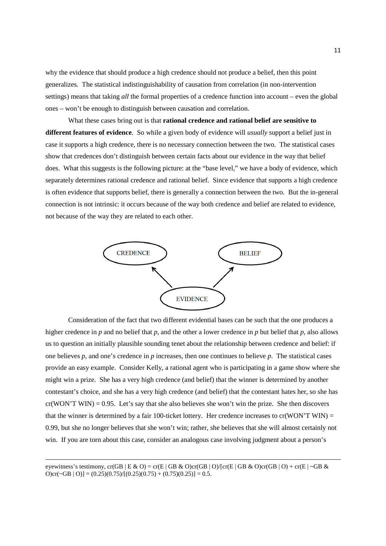why the evidence that should produce a high credence should not produce a belief, then this point generalizes. The statistical indistinguishability of causation from correlation (in non-intervention settings) means that taking *all* the formal properties of a credence function into account – even the global ones – won't be enough to distinguish between causation and correlation.

 What these cases bring out is that **rational credence and rational belief are sensitive to different features of evidence**. So while a given body of evidence will *usually* support a belief just in case it supports a high credence, there is no necessary connection between the two. The statistical cases show that credences don't distinguish between certain facts about our evidence in the way that belief does. What this suggests is the following picture: at the "base level," we have a body of evidence, which separately determines rational credence and rational belief. Since evidence that supports a high credence is often evidence that supports belief, there is generally a connection between the two. But the in-general connection is not intrinsic: it occurs because of the way both credence and belief are related to evidence, not because of the way they are related to each other.



Consideration of the fact that two different evidential bases can be such that the one produces a higher credence in *p* and no belief that *p*, and the other a lower credence in *p* but belief that *p*, also allows us to question an initially plausible sounding tenet about the relationship between credence and belief: if one believes *p*, and one's credence in *p* increases, then one continues to believe *p*. The statistical cases provide an easy example. Consider Kelly, a rational agent who is participating in a game show where she might win a prize. She has a very high credence (and belief) that the winner is determined by another contestant's choice, and she has a very high credence (and belief) that the contestant hates her, so she has  $cr(WON'T WIN) = 0.95$ . Let's say that she also believes she won't win the prize. She then discovers that the winner is determined by a fair 100-ticket lottery. Her credence increases to cr(WON'T WIN) = 0.99, but she no longer believes that she won't win; rather, she believes that she will almost certainly not win. If you are torn about this case, consider an analogous case involving judgment about a person's

eyewitness's testimony, cr(GB | E & O) = cr(E | GB & O)cr(GB | O)/[cr(E | GB & O)cr(GB | O) + cr(E | ~GB &  $O\text{er}(-GB | O)$ ] = (0.25)(0.75)/[(0.25)(0.75) + (0.75)(0.25)] = 0.5.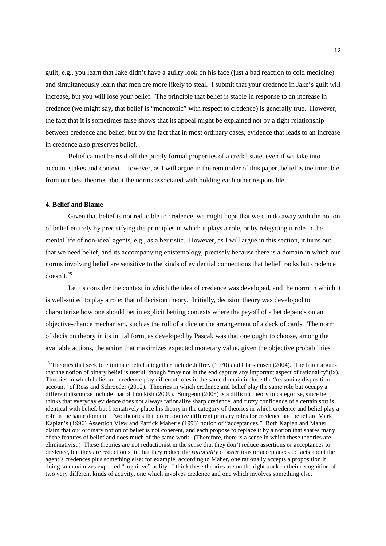guilt, e.g., you learn that Jake didn't have a guilty look on his face (just a bad reaction to cold medicine) and simultaneously learn that men are more likely to steal. I submit that your credence in Jake's guilt will increase, but you will lose your belief. The principle that belief is stable in response to an increase in credence (we might say, that belief is "monotonic" with respect to credence) is generally true. However, the fact that it is sometimes false shows that its appeal might be explained not by a tight relationship between credence and belief, but by the fact that in most ordinary cases, evidence that leads to an increase in credence also preserves belief.

Belief cannot be read off the purely formal properties of a credal state, even if we take into account stakes and context. However, as I will argue in the remainder of this paper, belief is ineliminable from our best theories about the norms associated with holding each other responsible.

## **4. Belief and Blame**

 $\overline{a}$ 

Given that belief is not reducible to credence, we might hope that we can do away with the notion of belief entirely by precisifying the principles in which it plays a role, or by relegating it role in the mental life of non-ideal agents, e.g., as a heuristic. However, as I will argue in this section, it turns out that we need belief, and its accompanying epistemology, precisely because there is a domain in which our norms involving belief are sensitive to the kinds of evidential connections that belief tracks but credence  $doesn't.<sup>25</sup>$ 

Let us consider the context in which the idea of credence was developed, and the norm in which it is well-suited to play a role: that of decision theory. Initially, decision theory was developed to characterize how one should bet in explicit betting contexts where the payoff of a bet depends on an objective-chance mechanism, such as the roll of a dice or the arrangement of a deck of cards. The norm of decision theory in its initial form, as developed by Pascal, was that one ought to choose, among the available actions, the action that maximizes expected monetary value, given the objective probabilities

 $25$  Theories that seek to eliminate belief altogether include Jeffrey (1970) and Christensen (2004). The latter argues that the notion of binary belief is useful, though "may not in the end capture any important aspect of rationality"(ix). Theories in which belief and credence play different roles in the same domain include the "reasoning disposition account" of Ross and Schroeder (2012). Theories in which credence and belief play the same role but occupy a different discourse include that of Frankish (2009). Sturgeon (2008) is a difficult theory to categorize, since he thinks that everyday evidence does not always rationalize sharp credence, and fuzzy confidence of a certain sort is identical with belief, but I tentatively place his theory in the category of theories in which credence and belief play a role in the same domain. Two theories that do recognize different primary roles for credence and belief are Mark Kaplan's (1996) Assertion View and Patrick Maher's (1993) notion of "acceptances." Both Kaplan and Maher claim that our ordinary notion of belief is not coherent, and each propose to replace it by a notion that shares many of the features of belief and does much of the same work. (Therefore, there is a sense in which these theories are eliminativist.) These theories are not reductionist in the sense that they don't reduce assertions or acceptances to credence, but they are reductionist in that they reduce the *rationality* of assertions or acceptances to facts about the agent's credences plus something else: for example, according to Maher, one rationally accepts a proposition if doing so maximizes expected "cognitive" utility. I think these theories are on the right track in their recognition of two very different kinds of activity, one which involves credence and one which involves something else.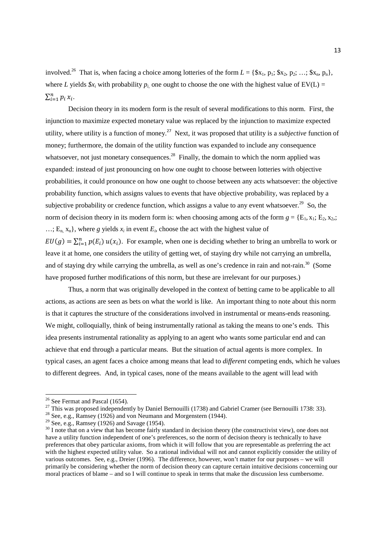involved.<sup>26</sup> That is, when facing a choice among lotteries of the form  $L = \{\$\mathbf{x}_1, \mathbf{p}_1; \$\mathbf{x}_2, \mathbf{p}_2; \ldots; \$\mathbf{x}_n, \mathbf{p}_n\},\$ where *L* yields  $\oint x_i$  with probability  $p_i$  one ought to choose the one with the highest value of  $EV(L)$  =  $\sum_{i=1}^n p_i x_i$ .

Decision theory in its modern form is the result of several modifications to this norm. First, the injunction to maximize expected monetary value was replaced by the injunction to maximize expected utility, where utility is a function of money.<sup>27</sup> Next, it was proposed that utility is a *subjective* function of money; furthermore, the domain of the utility function was expanded to include any consequence whatsoever, not just monetary consequences.<sup>28</sup> Finally, the domain to which the norm applied was expanded: instead of just pronouncing on how one ought to choose between lotteries with objective probabilities, it could pronounce on how one ought to choose between any acts whatsoever: the objective probability function, which assigns values to events that have objective probability, was replaced by a subjective probability or credence function, which assigns a value to any event whatsoever.<sup>29</sup> So, the norm of decision theory in its modern form is: when choosing among acts of the form  $g = \{E_1, x_1; E_2, x_2\}$ . ...;  $E_n$ ,  $x_n$ }, where *g* yields  $x_i$  in event  $E_i$ , choose the act with the highest value of  $EU(g) = \sum_{i=1}^{n} p(E_i) u(x_i)$ . For example, when one is deciding whether to bring an umbrella to work or leave it at home, one considers the utility of getting wet, of staying dry while not carrying an umbrella, and of staying dry while carrying the umbrella, as well as one's credence in rain and not-rain.<sup>30</sup> (Some have proposed further modifications of this norm, but these are irrelevant for our purposes.)

Thus, a norm that was originally developed in the context of betting came to be applicable to all actions, as actions are seen as bets on what the world is like. An important thing to note about this norm is that it captures the structure of the considerations involved in instrumental or means-ends reasoning. We might, colloquially, think of being instrumentally rational as taking the means to one's ends. This idea presents instrumental rationality as applying to an agent who wants some particular end and can achieve that end through a particular means. But the situation of actual agents is more complex. In typical cases, an agent faces a choice among means that lead to *different* competing ends, which he values to different degrees. And, in typical cases, none of the means available to the agent will lead with

<sup>&</sup>lt;sup>26</sup> See Fermat and Pascal (1654).

<sup>&</sup>lt;sup>27</sup> This was proposed independently by Daniel Bernouilli (1738) and Gabriel Cramer (see Bernouilli 1738: 33).

<sup>&</sup>lt;sup>28</sup> See, e.g., Ramsey (1926) and von Neumann and Morgenstern (1944).

<sup>&</sup>lt;sup>29</sup> See, e.g., Ramsey (1926) and Savage (1954).

<sup>&</sup>lt;sup>30</sup> I note that on a view that has become fairly standard in decision theory (the constructivist view), one does not have a utility function independent of one's preferences, so the norm of decision theory is technically to have preferences that obey particular axioms, from which it will follow that you are representable as preferring the act with the highest expected utility value. So a rational individual will not and cannot explicitly consider the utility of various outcomes. See, e.g., Dreier (1996). The difference, however, won't matter for our purposes – we will primarily be considering whether the norm of decision theory can capture certain intuitive decisions concerning our moral practices of blame – and so I will continue to speak in terms that make the discussion less cumbersome.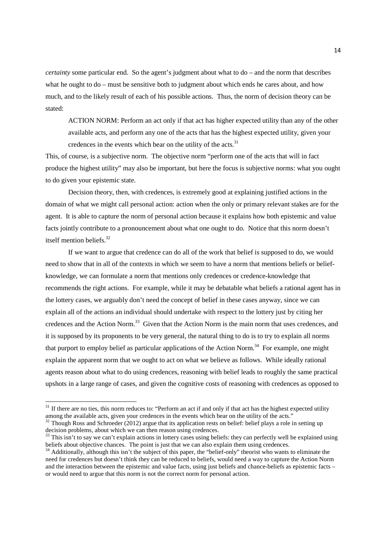*certainty* some particular end. So the agent's judgment about what to do – and the norm that describes what he ought to do – must be sensitive both to judgment about which ends he cares about, and how much, and to the likely result of each of his possible actions. Thus, the norm of decision theory can be stated:

ACTION NORM: Perform an act only if that act has higher expected utility than any of the other available acts, and perform any one of the acts that has the highest expected utility, given your credences in the events which bear on the utility of the acts.<sup>31</sup>

This, of course, is a subjective norm. The objective norm "perform one of the acts that will in fact produce the highest utility" may also be important, but here the focus is subjective norms: what you ought to do given your epistemic state.

Decision theory, then, with credences, is extremely good at explaining justified actions in the domain of what we might call personal action: action when the only or primary relevant stakes are for the agent. It is able to capture the norm of personal action because it explains how both epistemic and value facts jointly contribute to a pronouncement about what one ought to do. Notice that this norm doesn't itself mention beliefs.<sup>32</sup>

If we want to argue that credence can do all of the work that belief is supposed to do, we would need to show that in all of the contexts in which we seem to have a norm that mentions beliefs or beliefknowledge, we can formulate a norm that mentions only credences or credence-knowledge that recommends the right actions. For example, while it may be debatable what beliefs a rational agent has in the lottery cases, we arguably don't need the concept of belief in these cases anyway, since we can explain all of the actions an individual should undertake with respect to the lottery just by citing her credences and the Action Norm.<sup>33</sup> Given that the Action Norm is the main norm that uses credences, and it is supposed by its proponents to be very general, the natural thing to do is to try to explain all norms that purport to employ belief as particular applications of the Action Norm.<sup>34</sup> For example, one might explain the apparent norm that we ought to act on what we believe as follows. While ideally rational agents reason about what to do using credences, reasoning with belief leads to roughly the same practical upshots in a large range of cases, and given the cognitive costs of reasoning with credences as opposed to

<sup>&</sup>lt;sup>31</sup> If there are no ties, this norm reduces to: "Perform an act if and only if that act has the highest expected utility among the available acts, given your credences in the events which bear on the utility of the acts."

 $32$  Though Ross and Schroeder (2012) argue that its application rests on belief: belief plays a role in setting up decision problems, about which we can then reason using credences.

 $33$  This isn't to say we can't explain actions in lottery cases using beliefs: they can perfectly well be explained using beliefs about objective chances. The point is just that we can also explain them using credences.

<sup>&</sup>lt;sup>34</sup> Additionally, although this isn't the subject of this paper, the "belief-only" theorist who wants to eliminate the need for credences but doesn't think they can be reduced to beliefs, would need a way to capture the Action Norm and the interaction between the epistemic and value facts, using just beliefs and chance-beliefs as epistemic facts – or would need to argue that this norm is not the correct norm for personal action.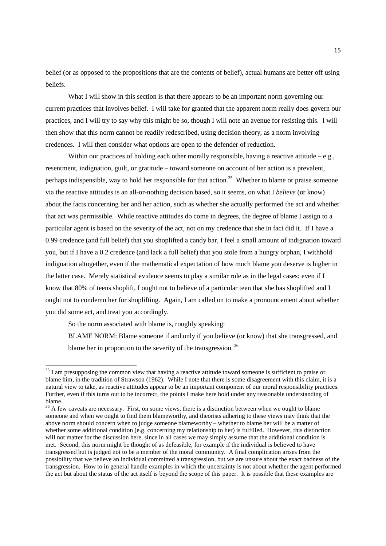belief (or as opposed to the propositions that are the contents of belief), actual humans are better off using beliefs.

What I will show in this section is that there appears to be an important norm governing our current practices that involves belief. I will take for granted that the apparent norm really does govern our practices, and I will try to say why this might be so, though I will note an avenue for resisting this. I will then show that this norm cannot be readily redescribed, using decision theory, as a norm involving credences. I will then consider what options are open to the defender of reduction.

Within our practices of holding each other morally responsible, having a reactive attitude  $-e.g.,$ resentment, indignation, guilt, or gratitude – toward someone on account of her action is a prevalent, perhaps indispensible, way to hold her responsible for that action.<sup>35</sup> Whether to blame or praise someone via the reactive attitudes is an all-or-nothing decision based, so it seems, on what I *believe* (or know) about the facts concerning her and her action, such as whether she actually performed the act and whether that act was permissible. While reactive attitudes do come in degrees, the degree of blame I assign to a particular agent is based on the severity of the act, not on my credence that she in fact did it. If I have a 0.99 credence (and full belief) that you shoplifted a candy bar, I feel a small amount of indignation toward you, but if I have a 0.2 credence (and lack a full belief) that you stole from a hungry orphan, I withhold indignation altogether, even if the mathematical expectation of how much blame you deserve is higher in the latter case. Merely statistical evidence seems to play a similar role as in the legal cases: even if I know that 80% of teens shoplift, I ought not to believe of a particular teen that she has shoplifted and I ought not to condemn her for shoplifting. Again, I am called on to make a pronouncement about whether you did some act, and treat you accordingly.

So the norm associated with blame is, roughly speaking:

 $\overline{a}$ 

BLAME NORM: Blame someone if and only if you believe (or know) that she transgressed, and blame her in proportion to the severity of the transgression.<sup>36</sup>

<sup>&</sup>lt;sup>35</sup> I am presupposing the common view that having a reactive attitude toward someone is sufficient to praise or blame him, in the tradition of Strawson (1962). While I note that there is some disagreement with this claim, it is a natural view to take, as reactive attitudes appear to be an important component of our moral responsibility practices. Further, even if this turns out to be incorrect, the points I make here hold under any reasonable understanding of blame.

<sup>&</sup>lt;sup>36</sup> A few caveats are necessary. First, on some views, there is a distinction between when we ought to blame someone and when we ought to find them blameworthy, and theorists adhering to these views may think that the above norm should concern when to judge someone blameworthy – whether to blame her will be a matter of whether some additional condition (e.g. concerning my relationship to her) is fulfilled. However, this distinction will not matter for the discussion here, since in all cases we may simply assume that the additional condition is met. Second, this norm might be thought of as defeasible, for example if the individual is believed to have transgressed but is judged not to be a member of the moral community. A final complication arises from the possibility that we believe an individual committed a transgression, but we are unsure about the exact badness of the transgression. How to in general handle examples in which the uncertainty is not about whether the agent performed the act but about the status of the act itself is beyond the scope of this paper. It is possible that these examples are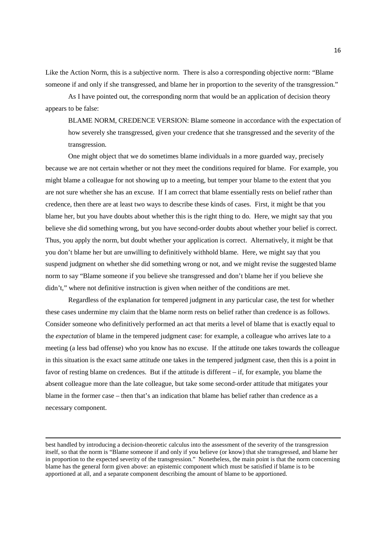Like the Action Norm, this is a subjective norm. There is also a corresponding objective norm: "Blame someone if and only if she transgressed, and blame her in proportion to the severity of the transgression."

As I have pointed out, the corresponding norm that would be an application of decision theory appears to be false:

BLAME NORM, CREDENCE VERSION: Blame someone in accordance with the expectation of how severely she transgressed, given your credence that she transgressed and the severity of the transgression.

One might object that we do sometimes blame individuals in a more guarded way, precisely because we are not certain whether or not they meet the conditions required for blame. For example, you might blame a colleague for not showing up to a meeting, but temper your blame to the extent that you are not sure whether she has an excuse. If I am correct that blame essentially rests on belief rather than credence, then there are at least two ways to describe these kinds of cases. First, it might be that you blame her, but you have doubts about whether this is the right thing to do. Here, we might say that you believe she did something wrong, but you have second-order doubts about whether your belief is correct. Thus, you apply the norm, but doubt whether your application is correct. Alternatively, it might be that you don't blame her but are unwilling to definitively withhold blame. Here, we might say that you suspend judgment on whether she did something wrong or not, and we might revise the suggested blame norm to say "Blame someone if you believe she transgressed and don't blame her if you believe she didn't," where not definitive instruction is given when neither of the conditions are met.

 Regardless of the explanation for tempered judgment in any particular case, the test for whether these cases undermine my claim that the blame norm rests on belief rather than credence is as follows. Consider someone who definitively performed an act that merits a level of blame that is exactly equal to the *expectation* of blame in the tempered judgment case: for example, a colleague who arrives late to a meeting (a less bad offense) who you know has no excuse. If the attitude one takes towards the colleague in this situation is the exact same attitude one takes in the tempered judgment case, then this is a point in favor of resting blame on credences. But if the attitude is different – if, for example, you blame the absent colleague more than the late colleague, but take some second-order attitude that mitigates your blame in the former case – then that's an indication that blame has belief rather than credence as a necessary component.

best handled by introducing a decision-theoretic calculus into the assessment of the severity of the transgression itself, so that the norm is "Blame someone if and only if you believe (or know) that she transgressed, and blame her in proportion to the expected severity of the transgression." Nonetheless, the main point is that the norm concerning blame has the general form given above: an epistemic component which must be satisfied if blame is to be apportioned at all, and a separate component describing the amount of blame to be apportioned.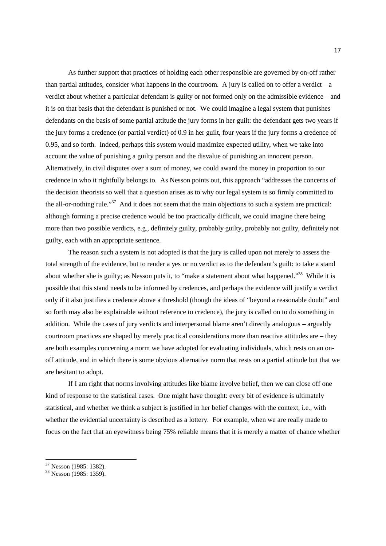As further support that practices of holding each other responsible are governed by on-off rather than partial attitudes, consider what happens in the courtroom. A jury is called on to offer a verdict – a verdict about whether a particular defendant is guilty or not formed only on the admissible evidence – and it is on that basis that the defendant is punished or not. We could imagine a legal system that punishes defendants on the basis of some partial attitude the jury forms in her guilt: the defendant gets two years if the jury forms a credence (or partial verdict) of 0.9 in her guilt, four years if the jury forms a credence of 0.95, and so forth. Indeed, perhaps this system would maximize expected utility, when we take into account the value of punishing a guilty person and the disvalue of punishing an innocent person. Alternatively, in civil disputes over a sum of money, we could award the money in proportion to our credence in who it rightfully belongs to. As Nesson points out, this approach "addresses the concerns of the decision theorists so well that a question arises as to why our legal system is so firmly committed to the all-or-nothing rule."<sup>37</sup> And it does not seem that the main objections to such a system are practical: although forming a precise credence would be too practically difficult, we could imagine there being more than two possible verdicts, e.g., definitely guilty, probably guilty, probably not guilty, definitely not guilty, each with an appropriate sentence.

The reason such a system is not adopted is that the jury is called upon not merely to assess the total strength of the evidence, but to render a yes or no verdict as to the defendant's guilt: to take a stand about whether she is guilty; as Nesson puts it, to "make a statement about what happened."<sup>38</sup> While it is possible that this stand needs to be informed by credences, and perhaps the evidence will justify a verdict only if it also justifies a credence above a threshold (though the ideas of "beyond a reasonable doubt" and so forth may also be explainable without reference to credence), the jury is called on to do something in addition. While the cases of jury verdicts and interpersonal blame aren't directly analogous – arguably courtroom practices are shaped by merely practical considerations more than reactive attitudes are – they are both examples concerning a norm we have adopted for evaluating individuals, which rests on an onoff attitude, and in which there is some obvious alternative norm that rests on a partial attitude but that we are hesitant to adopt.

If I am right that norms involving attitudes like blame involve belief, then we can close off one kind of response to the statistical cases. One might have thought: every bit of evidence is ultimately statistical, and whether we think a subject is justified in her belief changes with the context, i.e., with whether the evidential uncertainty is described as a lottery. For example, when we are really made to focus on the fact that an eyewitness being 75% reliable means that it is merely a matter of chance whether

<sup>37</sup> Nesson (1985: 1382).

<sup>&</sup>lt;sup>38</sup> Nesson (1985: 1359).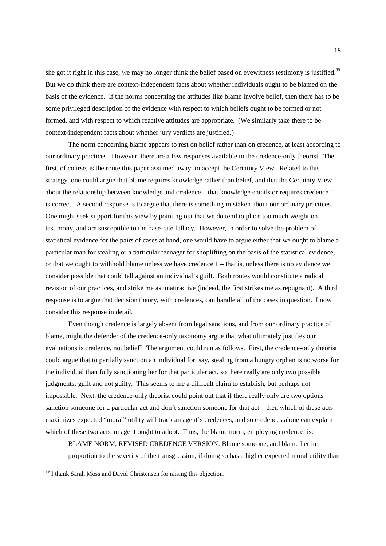she got it right in this case, we may no longer think the belief based on eyewitness testimony is justified.<sup>39</sup> But we do think there are context-independent facts about whether individuals ought to be blamed on the basis of the evidence. If the norms concerning the attitudes like blame involve belief, then there has to be some privileged description of the evidence with respect to which beliefs ought to be formed or not formed, and with respect to which reactive attitudes are appropriate. (We similarly take there to be context-independent facts about whether jury verdicts are justified.)

 The norm concerning blame appears to rest on belief rather than on credence, at least according to our ordinary practices. However, there are a few responses available to the credence-only theorist. The first, of course, is the route this paper assumed away: to accept the Certainty View. Related to this strategy, one could argue that blame requires knowledge rather than belief, and that the Certainty View about the relationship between knowledge and credence – that knowledge entails or requires credence 1 – is correct. A second response is to argue that there is something mistaken about our ordinary practices. One might seek support for this view by pointing out that we do tend to place too much weight on testimony, and are susceptible to the base-rate fallacy. However, in order to solve the problem of statistical evidence for the pairs of cases at hand, one would have to argue either that we ought to blame a particular man for stealing or a particular teenager for shoplifting on the basis of the statistical evidence, or that we ought to withhold blame unless we have credence 1 – that is, unless there is no evidence we consider possible that could tell against an individual's guilt. Both routes would constitute a radical revision of our practices, and strike me as unattractive (indeed, the first strikes me as repugnant). A third response is to argue that decision theory, with credences, can handle all of the cases in question. I now consider this response in detail.

Even though credence is largely absent from legal sanctions, and from our ordinary practice of blame, might the defender of the credence-only taxonomy argue that what ultimately justifies our evaluations is credence, not belief? The argument could run as follows. First, the credence-only theorist could argue that to partially sanction an individual for, say, stealing from a hungry orphan is no worse for the individual than fully sanctioning her for that particular act, so there really are only two possible judgments: guilt and not guilty. This seems to me a difficult claim to establish, but perhaps not impossible. Next, the credence-only theorist could point out that if there really only are two options – sanction someone for a particular act and don't sanction someone for that act – then which of these acts maximizes expected "moral" utility will track an agent's credences, and so credences alone can explain which of these two acts an agent ought to adopt. Thus, the blame norm, employing credence, is:

BLAME NORM, REVISED CREDENCE VERSION: Blame someone, and blame her in proportion to the severity of the transgression, if doing so has a higher expected moral utility than

<sup>&</sup>lt;sup>39</sup> I thank Sarah Moss and David Christensen for raising this objection.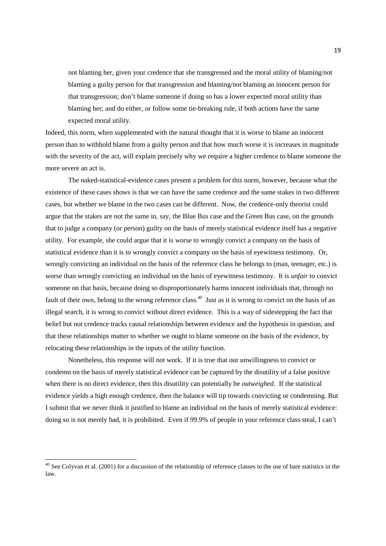not blaming her, given your credence that she transgressed and the moral utility of blaming/not blaming a guilty person for that transgression and blaming/not blaming an innocent person for that transgression; don't blame someone if doing so has a lower expected moral utility than blaming her; and do either, or follow some tie-breaking rule, if both actions have the same expected moral utility.

Indeed, this norm, when supplemented with the natural thought that it is worse to blame an innocent person than to withhold blame from a guilty person and that how much worse it is increases in magnitude with the severity of the act, will explain precisely why we require a higher credence to blame someone the more severe an act is.

The naked-statistical-evidence cases present a problem for this norm, however, because what the existence of these cases shows is that we can have the same credence and the same stakes in two different cases, but whether we blame in the two cases can be different. Now, the credence-only theorist could argue that the stakes are not the same in, say, the Blue Bus case and the Green Bus case, on the grounds that to judge a company (or person) guilty on the basis of merely statistical evidence itself has a negative utility. For example, she could argue that it is worse to wrongly convict a company on the basis of statistical evidence than it is to wrongly convict a company on the basis of eyewitness testimony. Or, wrongly convicting an individual on the basis of the reference class he belongs to (man, teenager, etc.) is worse than wrongly convicting an individual on the basis of eyewitness testimony. It is *unfair* to convict someone on that basis, because doing so disproportionately harms innocent individuals that, through no fault of their own, belong to the wrong reference class.<sup>40</sup> Just as it is wrong to convict on the basis of an illegal search, it is wrong to convict without direct evidence. This is a way of sidestepping the fact that belief but not credence tracks causal relationships between evidence and the hypothesis in question, and that these relationships matter to whether we ought to blame someone on the basis of the evidence, by relocating these relationships in the inputs of the utility function.

Nonetheless, this response will not work. If it is true that our unwillingness to convict or condemn on the basis of merely statistical evidence can be captured by the disutility of a false positive when there is no direct evidence, then this disutility can potentially be *outweighed*. If the statistical evidence yields a high enough credence, then the balance will tip towards convicting or condemning. But I submit that we never think it justified to blame an individual on the basis of merely statistical evidence: doing so is not merely bad, it is prohibited. Even if 99.9% of people in your reference class steal, I can't

<sup>&</sup>lt;sup>40</sup> See Colyvan et al. (2001) for a discussion of the relationship of reference classes to the use of bare statistics in the law.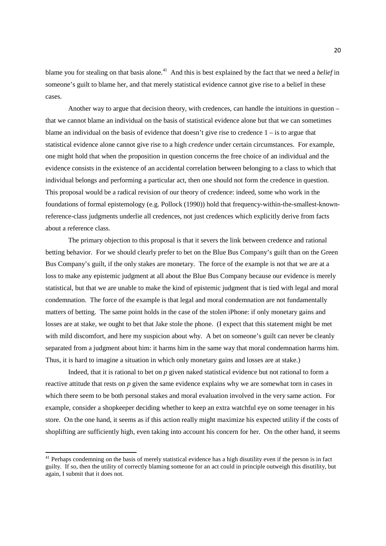blame you for stealing on that basis alone.<sup>41</sup> And this is best explained by the fact that we need a *belief* in someone's guilt to blame her, and that merely statistical evidence cannot give rise to a belief in these cases.

 Another way to argue that decision theory, with credences, can handle the intuitions in question – that we cannot blame an individual on the basis of statistical evidence alone but that we can sometimes blame an individual on the basis of evidence that doesn't give rise to credence  $1 -$  is to argue that statistical evidence alone cannot give rise to a high *credence* under certain circumstances. For example, one might hold that when the proposition in question concerns the free choice of an individual and the evidence consists in the existence of an accidental correlation between belonging to a class to which that individual belongs and performing a particular act, then one should not form the credence in question. This proposal would be a radical revision of our theory of credence: indeed, some who work in the foundations of formal epistemology (e.g. Pollock (1990)) hold that frequency-within-the-smallest-knownreference-class judgments underlie all credences, not just credences which explicitly derive from facts about a reference class.

The primary objection to this proposal is that it severs the link between credence and rational betting behavior. For we should clearly prefer to bet on the Blue Bus Company's guilt than on the Green Bus Company's guilt, if the only stakes are monetary. The force of the example is not that we are at a loss to make any epistemic judgment at all about the Blue Bus Company because our evidence is merely statistical, but that we are unable to make the kind of epistemic judgment that is tied with legal and moral condemnation. The force of the example is that legal and moral condemnation are not fundamentally matters of betting. The same point holds in the case of the stolen iPhone: if only monetary gains and losses are at stake, we ought to bet that Jake stole the phone. (I expect that this statement might be met with mild discomfort, and here my suspicion about why. A bet on someone's guilt can never be cleanly separated from a judgment about him: it harms him in the same way that moral condemnation harms him. Thus, it is hard to imagine a situation in which only monetary gains and losses are at stake.)

Indeed, that it is rational to bet on *p* given naked statistical evidence but not rational to form a reactive attitude that rests on *p* given the same evidence explains why we are somewhat torn in cases in which there seem to be both personal stakes and moral evaluation involved in the very same action. For example, consider a shopkeeper deciding whether to keep an extra watchful eye on some teenager in his store. On the one hand, it seems as if this action really might maximize his expected utility if the costs of shoplifting are sufficiently high, even taking into account his concern for her. On the other hand, it seems

<sup>&</sup>lt;sup>41</sup> Perhaps condemning on the basis of merely statistical evidence has a high disutility even if the person is in fact guilty. If so, then the utility of correctly blaming someone for an act could in principle outweigh this disutility, but again, I submit that it does not.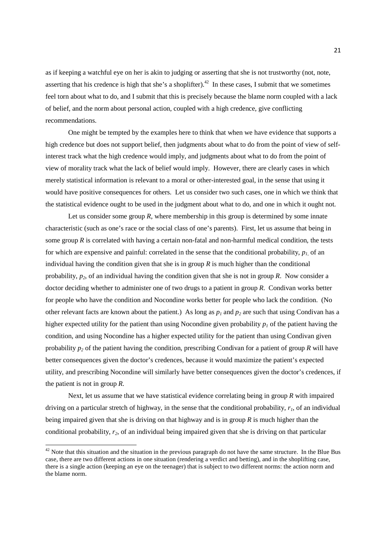as if keeping a watchful eye on her is akin to judging or asserting that she is not trustworthy (not, note, asserting that his credence is high that she's a shoplifter).<sup>42</sup> In these cases, I submit that we sometimes feel torn about what to do, and I submit that this is precisely because the blame norm coupled with a lack of belief, and the norm about personal action, coupled with a high credence, give conflicting recommendations.

One might be tempted by the examples here to think that when we have evidence that supports a high credence but does not support belief, then judgments about what to do from the point of view of selfinterest track what the high credence would imply, and judgments about what to do from the point of view of morality track what the lack of belief would imply. However, there are clearly cases in which merely statistical information is relevant to a moral or other-interested goal, in the sense that using it would have positive consequences for others. Let us consider two such cases, one in which we think that the statistical evidence ought to be used in the judgment about what to do, and one in which it ought not.

Let us consider some group  $R$ , where membership in this group is determined by some innate characteristic (such as one's race or the social class of one's parents). First, let us assume that being in some group *R* is correlated with having a certain non-fatal and non-harmful medical condition, the tests for which are expensive and painful: correlated in the sense that the conditional probability, *p1*, of an individual having the condition given that she is in group  $R$  is much higher than the conditional probability, *p2*, of an individual having the condition given that she is not in group *R*. Now consider a doctor deciding whether to administer one of two drugs to a patient in group *R*. Condivan works better for people who have the condition and Nocondine works better for people who lack the condition. (No other relevant facts are known about the patient.) As long as  $p_1$  and  $p_2$  are such that using Condivan has a higher expected utility for the patient than using Nocondine given probability  $p_l$  of the patient having the condition, and using Nocondine has a higher expected utility for the patient than using Condivan given probability *p2* of the patient having the condition, prescribing Condivan for a patient of group *R* will have better consequences given the doctor's credences, because it would maximize the patient's expected utility, and prescribing Nocondine will similarly have better consequences given the doctor's credences, if the patient is not in group *R*.

Next, let us assume that we have statistical evidence correlating being in group *R* with impaired driving on a particular stretch of highway, in the sense that the conditional probability, *r1*, of an individual being impaired given that she is driving on that highway and is in group *R* is much higher than the conditional probability, *r2*, of an individual being impaired given that she is driving on that particular

 $42$  Note that this situation and the situation in the previous paragraph do not have the same structure. In the Blue Bus case, there are two different actions in one situation (rendering a verdict and betting), and in the shoplifting case, there is a single action (keeping an eye on the teenager) that is subject to two different norms: the action norm and the blame norm.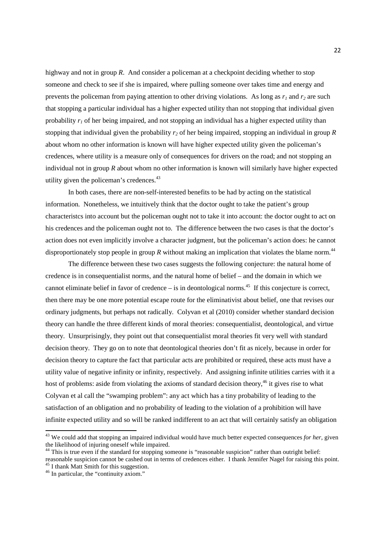highway and not in group *R*. And consider a policeman at a checkpoint deciding whether to stop someone and check to see if she is impaired, where pulling someone over takes time and energy and prevents the policeman from paying attention to other driving violations. As long as  $r<sub>1</sub>$  and  $r<sub>2</sub>$  are such that stopping a particular individual has a higher expected utility than not stopping that individual given probability  $r_i$  of her being impaired, and not stopping an individual has a higher expected utility than stopping that individual given the probability *r2* of her being impaired, stopping an individual in group *R* about whom no other information is known will have higher expected utility given the policeman's credences, where utility is a measure only of consequences for drivers on the road; and not stopping an individual not in group *R* about whom no other information is known will similarly have higher expected utility given the policeman's credences.<sup>43</sup>

In both cases, there are non-self-interested benefits to be had by acting on the statistical information. Nonetheless, we intuitively think that the doctor ought to take the patient's group characteristcs into account but the policeman ought not to take it into account: the doctor ought to act on his credences and the policeman ought not to. The difference between the two cases is that the doctor's action does not even implicitly involve a character judgment, but the policeman's action does: he cannot disproportionately stop people in group  $R$  without making an implication that violates the blame norm.<sup>44</sup>

The difference between these two cases suggests the following conjecture: the natural home of credence is in consequentialist norms, and the natural home of belief – and the domain in which we cannot eliminate belief in favor of credence – is in deontological norms.<sup>45</sup> If this conjecture is correct, then there may be one more potential escape route for the eliminativist about belief, one that revises our ordinary judgments, but perhaps not radically. Colyvan et al (2010) consider whether standard decision theory can handle the three different kinds of moral theories: consequentialist, deontological, and virtue theory. Unsurprisingly, they point out that consequentialist moral theories fit very well with standard decision theory. They go on to note that deontological theories don't fit as nicely, because in order for decision theory to capture the fact that particular acts are prohibited or required, these acts must have a utility value of negative infinity or infinity, respectively. And assigning infinite utilities carries with it a host of problems: aside from violating the axioms of standard decision theory,<sup>46</sup> it gives rise to what Colyvan et al call the "swamping problem": any act which has a tiny probability of leading to the satisfaction of an obligation and no probability of leading to the violation of a prohibition will have infinite expected utility and so will be ranked indifferent to an act that will certainly satisfy an obligation

<sup>43</sup> We could add that stopping an impaired individual would have much better expected consequences *for her*, given the likelihood of injuring oneself while impaired.

<sup>&</sup>lt;sup>44</sup> This is true even if the standard for stopping someone is "reasonable suspicion" rather than outright belief: reasonable suspicion cannot be cashed out in terms of credences either. I thank Jennifer Nagel for raising this point. <sup>45</sup> I thank Matt Smith for this suggestion.

<sup>46</sup> In particular, the "continuity axiom."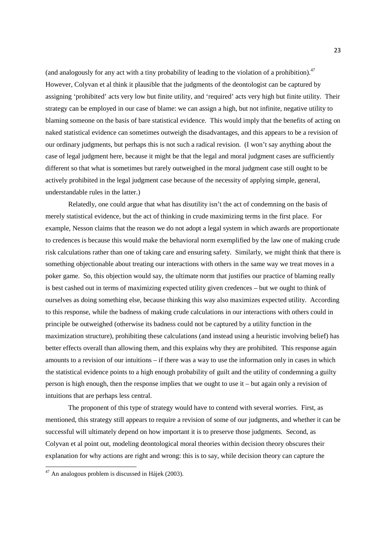(and analogously for any act with a tiny probability of leading to the violation of a prohibition). $47$ However, Colyvan et al think it plausible that the judgments of the deontologist can be captured by assigning 'prohibited' acts very low but finite utility, and 'required' acts very high but finite utility. Their strategy can be employed in our case of blame: we can assign a high, but not infinite, negative utility to blaming someone on the basis of bare statistical evidence. This would imply that the benefits of acting on naked statistical evidence can sometimes outweigh the disadvantages, and this appears to be a revision of our ordinary judgments, but perhaps this is not such a radical revision. (I won't say anything about the case of legal judgment here, because it might be that the legal and moral judgment cases are sufficiently different so that what is sometimes but rarely outweighed in the moral judgment case still ought to be actively prohibited in the legal judgment case because of the necessity of applying simple, general, understandable rules in the latter.)

Relatedly, one could argue that what has disutility isn't the act of condemning on the basis of merely statistical evidence, but the act of thinking in crude maximizing terms in the first place. For example, Nesson claims that the reason we do not adopt a legal system in which awards are proportionate to credences is because this would make the behavioral norm exemplified by the law one of making crude risk calculations rather than one of taking care and ensuring safety. Similarly, we might think that there is something objectionable about treating our interactions with others in the same way we treat moves in a poker game. So, this objection would say, the ultimate norm that justifies our practice of blaming really is best cashed out in terms of maximizing expected utility given credences – but we ought to think of ourselves as doing something else, because thinking this way also maximizes expected utility. According to this response, while the badness of making crude calculations in our interactions with others could in principle be outweighed (otherwise its badness could not be captured by a utility function in the maximization structure), prohibiting these calculations (and instead using a heuristic involving belief) has better effects overall than allowing them, and this explains why they are prohibited. This response again amounts to a revision of our intuitions – if there was a way to use the information only in cases in which the statistical evidence points to a high enough probability of guilt and the utility of condemning a guilty person is high enough, then the response implies that we ought to use it – but again only a revision of intuitions that are perhaps less central.

The proponent of this type of strategy would have to contend with several worries. First, as mentioned, this strategy still appears to require a revision of some of our judgments, and whether it can be successful will ultimately depend on how important it is to preserve those judgments. Second, as Colyvan et al point out, modeling deontological moral theories within decision theory obscures their explanation for why actions are right and wrong: this is to say, while decision theory can capture the

<sup>47</sup> An analogous problem is discussed in Hájek (2003).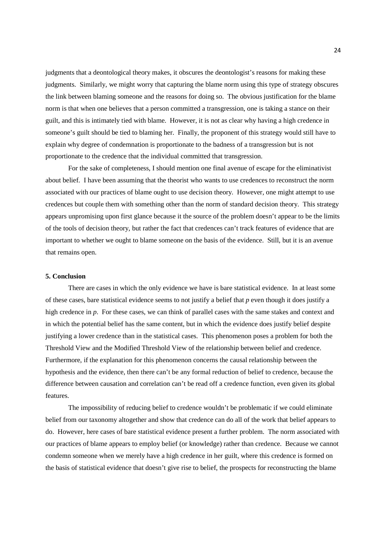judgments that a deontological theory makes, it obscures the deontologist's reasons for making these judgments. Similarly, we might worry that capturing the blame norm using this type of strategy obscures the link between blaming someone and the reasons for doing so. The obvious justification for the blame norm is that when one believes that a person committed a transgression, one is taking a stance on their guilt, and this is intimately tied with blame. However, it is not as clear why having a high credence in someone's guilt should be tied to blaming her. Finally, the proponent of this strategy would still have to explain why degree of condemnation is proportionate to the badness of a transgression but is not proportionate to the credence that the individual committed that transgression.

 For the sake of completeness, I should mention one final avenue of escape for the eliminativist about belief. I have been assuming that the theorist who wants to use credences to reconstruct the norm associated with our practices of blame ought to use decision theory. However, one might attempt to use credences but couple them with something other than the norm of standard decision theory. This strategy appears unpromising upon first glance because it the source of the problem doesn't appear to be the limits of the tools of decision theory, but rather the fact that credences can't track features of evidence that are important to whether we ought to blame someone on the basis of the evidence. Still, but it is an avenue that remains open.

#### **5. Conclusion**

 There are cases in which the only evidence we have is bare statistical evidence. In at least some of these cases, bare statistical evidence seems to not justify a belief that *p* even though it does justify a high credence in *p*. For these cases, we can think of parallel cases with the same stakes and context and in which the potential belief has the same content, but in which the evidence does justify belief despite justifying a lower credence than in the statistical cases. This phenomenon poses a problem for both the Threshold View and the Modified Threshold View of the relationship between belief and credence. Furthermore, if the explanation for this phenomenon concerns the causal relationship between the hypothesis and the evidence, then there can't be any formal reduction of belief to credence, because the difference between causation and correlation can't be read off a credence function, even given its global features.

 The impossibility of reducing belief to credence wouldn't be problematic if we could eliminate belief from our taxonomy altogether and show that credence can do all of the work that belief appears to do. However, here cases of bare statistical evidence present a further problem. The norm associated with our practices of blame appears to employ belief (or knowledge) rather than credence. Because we cannot condemn someone when we merely have a high credence in her guilt, where this credence is formed on the basis of statistical evidence that doesn't give rise to belief, the prospects for reconstructing the blame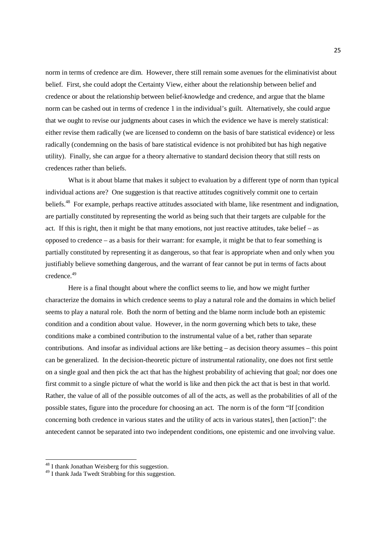norm in terms of credence are dim. However, there still remain some avenues for the eliminativist about belief. First, she could adopt the Certainty View, either about the relationship between belief and credence or about the relationship between belief-knowledge and credence, and argue that the blame norm can be cashed out in terms of credence 1 in the individual's guilt. Alternatively, she could argue that we ought to revise our judgments about cases in which the evidence we have is merely statistical: either revise them radically (we are licensed to condemn on the basis of bare statistical evidence) or less radically (condemning on the basis of bare statistical evidence is not prohibited but has high negative utility). Finally, she can argue for a theory alternative to standard decision theory that still rests on credences rather than beliefs.

What is it about blame that makes it subject to evaluation by a different type of norm than typical individual actions are? One suggestion is that reactive attitudes cognitively commit one to certain beliefs.<sup>48</sup> For example, perhaps reactive attitudes associated with blame, like resentment and indignation, are partially constituted by representing the world as being such that their targets are culpable for the act. If this is right, then it might be that many emotions, not just reactive attitudes, take belief – as opposed to credence – as a basis for their warrant: for example, it might be that to fear something is partially constituted by representing it as dangerous, so that fear is appropriate when and only when you justifiably believe something dangerous, and the warrant of fear cannot be put in terms of facts about credence.<sup>49</sup>

 Here is a final thought about where the conflict seems to lie, and how we might further characterize the domains in which credence seems to play a natural role and the domains in which belief seems to play a natural role. Both the norm of betting and the blame norm include both an epistemic condition and a condition about value. However, in the norm governing which bets to take, these conditions make a combined contribution to the instrumental value of a bet, rather than separate contributions. And insofar as individual actions are like betting – as decision theory assumes – this point can be generalized. In the decision-theoretic picture of instrumental rationality, one does not first settle on a single goal and then pick the act that has the highest probability of achieving that goal; nor does one first commit to a single picture of what the world is like and then pick the act that is best in that world. Rather, the value of all of the possible outcomes of all of the acts, as well as the probabilities of all of the possible states, figure into the procedure for choosing an act. The norm is of the form "If [condition concerning both credence in various states and the utility of acts in various states], then [action]": the antecedent cannot be separated into two independent conditions, one epistemic and one involving value.

<sup>48</sup> I thank Jonathan Weisberg for this suggestion.

<sup>&</sup>lt;sup>49</sup> I thank Jada Twedt Strabbing for this suggestion.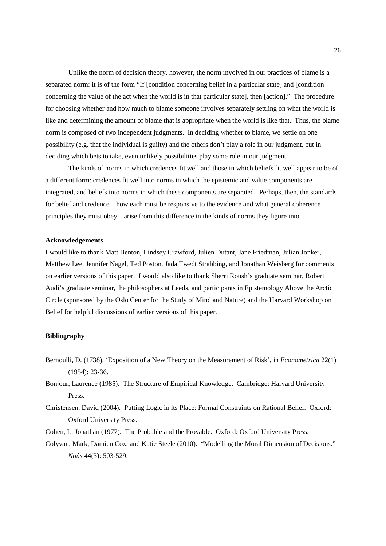Unlike the norm of decision theory, however, the norm involved in our practices of blame is a separated norm: it is of the form "If [condition concerning belief in a particular state] and [condition concerning the value of the act when the world is in that particular state], then [action]." The procedure for choosing whether and how much to blame someone involves separately settling on what the world is like and determining the amount of blame that is appropriate when the world is like that. Thus, the blame norm is composed of two independent judgments. In deciding whether to blame, we settle on one possibility (e.g. that the individual is guilty) and the others don't play a role in our judgment, but in deciding which bets to take, even unlikely possibilities play some role in our judgment.

The kinds of norms in which credences fit well and those in which beliefs fit well appear to be of a different form: credences fit well into norms in which the epistemic and value components are integrated, and beliefs into norms in which these components are separated. Perhaps, then, the standards for belief and credence – how each must be responsive to the evidence and what general coherence principles they must obey – arise from this difference in the kinds of norms they figure into.

#### **Acknowledgements**

I would like to thank Matt Benton, Lindsey Crawford, Julien Dutant, Jane Friedman, Julian Jonker, Matthew Lee, Jennifer Nagel, Ted Poston, Jada Twedt Strabbing, and Jonathan Weisberg for comments on earlier versions of this paper. I would also like to thank Sherri Roush's graduate seminar, Robert Audi's graduate seminar, the philosophers at Leeds, and participants in Epistemology Above the Arctic Circle (sponsored by the Oslo Center for the Study of Mind and Nature) and the Harvard Workshop on Belief for helpful discussions of earlier versions of this paper.

#### **Bibliography**

- Bernoulli, D. (1738), 'Exposition of a New Theory on the Measurement of Risk', in *Econometrica* 22(1) (1954): 23-36.
- Bonjour, Laurence (1985). The Structure of Empirical Knowledge. Cambridge: Harvard University Press.
- Christensen, David (2004). Putting Logic in its Place: Formal Constraints on Rational Belief. Oxford: Oxford University Press.
- Cohen, L. Jonathan (1977). The Probable and the Provable. Oxford: Oxford University Press.
- Colyvan, Mark, Damien Cox, and Katie Steele (2010). "Modelling the Moral Dimension of Decisions." *Noûs* 44(3): 503-529.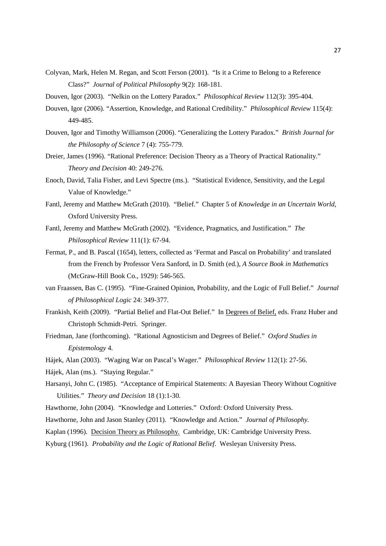- Colyvan, Mark, Helen M. Regan, and Scott Ferson (2001). "Is it a Crime to Belong to a Reference Class?" *Journal of Political Philosophy* 9(2): 168-181.
- Douven, Igor (2003). "Nelkin on the Lottery Paradox." *Philosophical Review* 112(3): 395-404.
- Douven, Igor (2006). "Assertion, Knowledge, and Rational Credibility." *Philosophical Review* 115(4): 449-485.
- Douven, Igor and Timothy Williamson (2006). "Generalizing the Lottery Paradox." *British Journal for the Philosophy of Science* 7 (4): 755-779.
- Dreier, James (1996). "Rational Preference: Decision Theory as a Theory of Practical Rationality." *Theory and Decision* 40: 249-276.
- Enoch, David, Talia Fisher, and Levi Spectre (ms.). "Statistical Evidence, Sensitivity, and the Legal Value of Knowledge."
- Fantl, Jeremy and Matthew McGrath (2010). "Belief." Chapter 5 of *Knowledge in an Uncertain World*, Oxford University Press.
- Fantl, Jeremy and Matthew McGrath (2002). "Evidence, Pragmatics, and Justification." *The Philosophical Review* 111(1): 67-94.
- Fermat, P., and B. Pascal (1654), letters, collected as 'Fermat and Pascal on Probability' and translated from the French by Professor Vera Sanford, in D. Smith (ed.), *A Source Book in Mathematics* (McGraw-Hill Book Co., 1929): 546-565.
- van Fraassen, Bas C. (1995). "Fine-Grained Opinion, Probability, and the Logic of Full Belief." *Journal of Philosophical Logic* 24: 349-377.
- Frankish, Keith (2009). "Partial Belief and Flat-Out Belief." In Degrees of Belief, eds. Franz Huber and Christoph Schmidt-Petri. Springer.
- Friedman, Jane (forthcoming). "Rational Agnosticism and Degrees of Belief." *Oxford Studies in Epistemology* 4.
- Hájek, Alan (2003). "Waging War on Pascal's Wager." *Philosophical Review* 112(1): 27-56.
- Hájek, Alan (ms.). "Staying Regular."
- Harsanyi, John C. (1985). "Acceptance of Empirical Statements: A Bayesian Theory Without Cognitive Utilities." *Theory and Decision* 18 (1):1-30.
- Hawthorne, John (2004). "Knowledge and Lotteries." Oxford: Oxford University Press.
- Hawthorne, John and Jason Stanley (2011). "Knowledge and Action." *Journal of Philosophy*.
- Kaplan (1996). Decision Theory as Philosophy*.* Cambridge, UK: Cambridge University Press.
- Kyburg (1961). *Probability and the Logic of Rational Belief*. Wesleyan University Press.